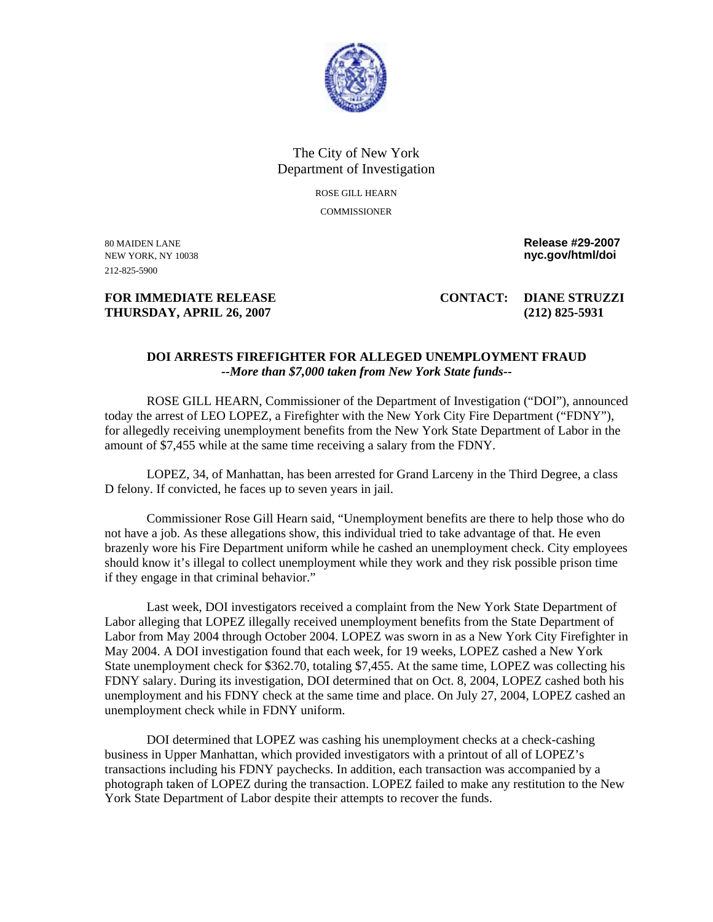

## The City of New York Department of Investigation ROSE GILL HEARN

COMMISSIONER

212-825-5900

80 MAIDEN LANE **Release #29-2007**  NEW YORK, NY 10038 **nyc.gov/html/doi** 

## **THURSDAY, APRIL 26, 2007 (212) 825-5931**

**FOR IMMEDIATE RELEASE CONTACT: DIANE STRUZZI** 

## **DOI ARRESTS FIREFIGHTER FOR ALLEGED UNEMPLOYMENT FRAUD**  *--More than \$7,000 taken from New York State funds--*

 ROSE GILL HEARN, Commissioner of the Department of Investigation ("DOI"), announced today the arrest of LEO LOPEZ, a Firefighter with the New York City Fire Department ("FDNY"), for allegedly receiving unemployment benefits from the New York State Department of Labor in the amount of \$7,455 while at the same time receiving a salary from the FDNY.

 LOPEZ, 34, of Manhattan, has been arrested for Grand Larceny in the Third Degree, a class D felony. If convicted, he faces up to seven years in jail.

 Commissioner Rose Gill Hearn said, "Unemployment benefits are there to help those who do not have a job. As these allegations show, this individual tried to take advantage of that. He even brazenly wore his Fire Department uniform while he cashed an unemployment check. City employees should know it's illegal to collect unemployment while they work and they risk possible prison time if they engage in that criminal behavior."

 Last week, DOI investigators received a complaint from the New York State Department of Labor alleging that LOPEZ illegally received unemployment benefits from the State Department of Labor from May 2004 through October 2004. LOPEZ was sworn in as a New York City Firefighter in May 2004. A DOI investigation found that each week, for 19 weeks, LOPEZ cashed a New York State unemployment check for \$362.70, totaling \$7,455. At the same time, LOPEZ was collecting his FDNY salary. During its investigation, DOI determined that on Oct. 8, 2004, LOPEZ cashed both his unemployment and his FDNY check at the same time and place. On July 27, 2004, LOPEZ cashed an unemployment check while in FDNY uniform.

DOI determined that LOPEZ was cashing his unemployment checks at a check-cashing business in Upper Manhattan, which provided investigators with a printout of all of LOPEZ's transactions including his FDNY paychecks. In addition, each transaction was accompanied by a photograph taken of LOPEZ during the transaction. LOPEZ failed to make any restitution to the New York State Department of Labor despite their attempts to recover the funds.